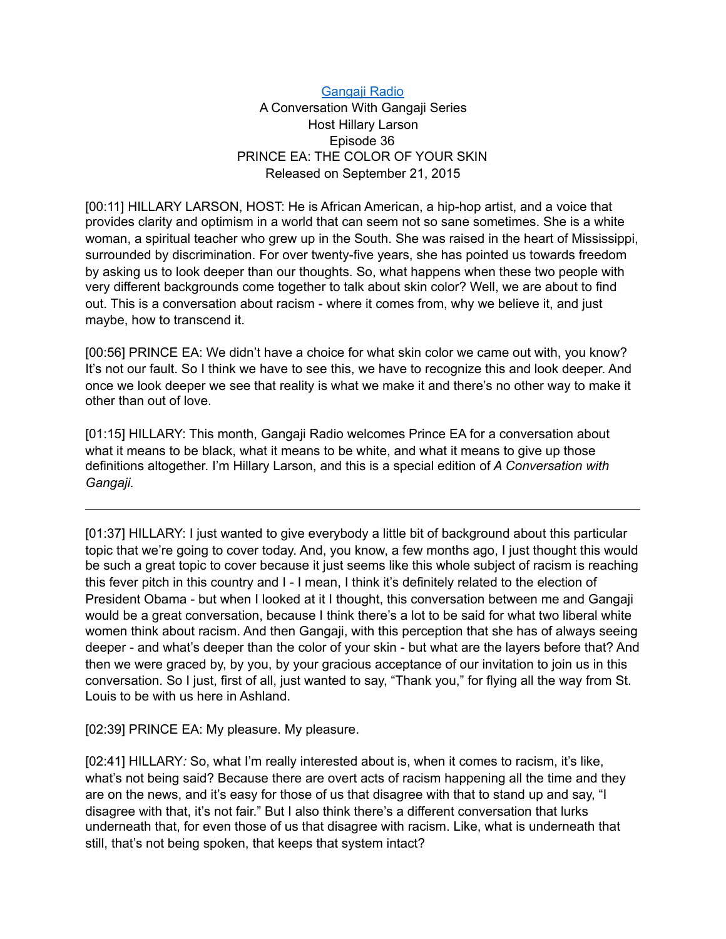## [Gangaji Radio](https://gangaji.org/podcast-library/)

## A Conversation With Gangaji Series Host Hillary Larson Episode 36 PRINCE EA: THE COLOR OF YOUR SKIN Released on September 21, 2015

[00:11] HILLARY LARSON, HOST: He is African American, a hip-hop artist, and a voice that provides clarity and optimism in a world that can seem not so sane sometimes. She is a white woman, a spiritual teacher who grew up in the South. She was raised in the heart of Mississippi, surrounded by discrimination. For over twenty-five years, she has pointed us towards freedom by asking us to look deeper than our thoughts. So, what happens when these two people with very different backgrounds come together to talk about skin color? Well, we are about to find out. This is a conversation about racism - where it comes from, why we believe it, and just maybe, how to transcend it.

[00:56] PRINCE EA: We didn't have a choice for what skin color we came out with, you know? It's not our fault. So I think we have to see this, we have to recognize this and look deeper. And once we look deeper we see that reality is what we make it and there's no other way to make it other than out of love.

[01:15] HILLARY: This month, Gangaji Radio welcomes Prince EA for a conversation about what it means to be black, what it means to be white, and what it means to give up those definitions altogether. I'm Hillary Larson, and this is a special edition of *A Conversation with Gangaji.* 

[01:37] HILLARY: I just wanted to give everybody a little bit of background about this particular topic that we're going to cover today. And, you know, a few months ago, I just thought this would be such a great topic to cover because it just seems like this whole subject of racism is reaching this fever pitch in this country and I - I mean, I think it's definitely related to the election of President Obama - but when I looked at it I thought, this conversation between me and Gangaji would be a great conversation, because I think there's a lot to be said for what two liberal white women think about racism. And then Gangaji, with this perception that she has of always seeing deeper - and what's deeper than the color of your skin - but what are the layers before that? And then we were graced by, by you, by your gracious acceptance of our invitation to join us in this conversation. So I just, first of all, just wanted to say, "Thank you," for flying all the way from St. Louis to be with us here in Ashland.

[02:39] PRINCE EA: My pleasure. My pleasure.

[02:41] HILLARY*:* So, what I'm really interested about is, when it comes to racism, it's like, what's not being said? Because there are overt acts of racism happening all the time and they are on the news, and it's easy for those of us that disagree with that to stand up and say, "I disagree with that, it's not fair." But I also think there's a different conversation that lurks underneath that, for even those of us that disagree with racism. Like, what is underneath that still, that's not being spoken, that keeps that system intact?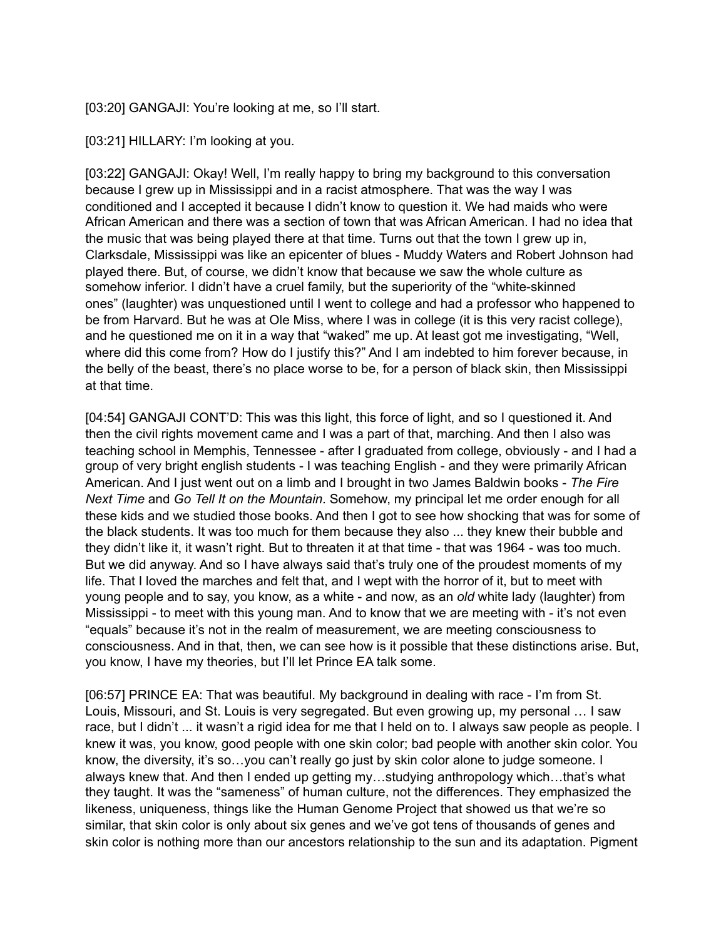[03:20] GANGAJI: You're looking at me, so I'll start.

[03:21] HILLARY: I'm looking at you.

[03:22] GANGAJI: Okay! Well, I'm really happy to bring my background to this conversation because I grew up in Mississippi and in a racist atmosphere. That was the way I was conditioned and I accepted it because I didn't know to question it. We had maids who were African American and there was a section of town that was African American. I had no idea that the music that was being played there at that time. Turns out that the town I grew up in, Clarksdale, Mississippi was like an epicenter of blues - Muddy Waters and Robert Johnson had played there. But, of course, we didn't know that because we saw the whole culture as somehow inferior. I didn't have a cruel family, but the superiority of the "white-skinned ones" (laughter) was unquestioned until I went to college and had a professor who happened to be from Harvard. But he was at Ole Miss, where I was in college (it is this very racist college), and he questioned me on it in a way that "waked" me up. At least got me investigating, "Well, where did this come from? How do I justify this?" And I am indebted to him forever because, in the belly of the beast, there's no place worse to be, for a person of black skin, then Mississippi at that time.

[04:54] GANGAJI CONT'D: This was this light, this force of light, and so I questioned it. And then the civil rights movement came and I was a part of that, marching. And then I also was teaching school in Memphis, Tennessee - after I graduated from college, obviously - and I had a group of very bright english students - I was teaching English - and they were primarily African American. And I just went out on a limb and I brought in two James Baldwin books - *The Fire Next Time* and *Go Tell It on the Mountain*. Somehow, my principal let me order enough for all these kids and we studied those books. And then I got to see how shocking that was for some of the black students. It was too much for them because they also ... they knew their bubble and they didn't like it, it wasn't right. But to threaten it at that time - that was 1964 - was too much. But we did anyway. And so I have always said that's truly one of the proudest moments of my life. That I loved the marches and felt that, and I wept with the horror of it, but to meet with young people and to say, you know, as a white - and now, as an *old* white lady (laughter) from Mississippi - to meet with this young man. And to know that we are meeting with - it's not even "equals" because it's not in the realm of measurement, we are meeting consciousness to consciousness. And in that, then, we can see how is it possible that these distinctions arise. But, you know, I have my theories, but I'll let Prince EA talk some.

[06:57] PRINCE EA: That was beautiful. My background in dealing with race - I'm from St. Louis, Missouri, and St. Louis is very segregated. But even growing up, my personal … I saw race, but I didn't ... it wasn't a rigid idea for me that I held on to. I always saw people as people. I knew it was, you know, good people with one skin color; bad people with another skin color. You know, the diversity, it's so…you can't really go just by skin color alone to judge someone. I always knew that. And then I ended up getting my…studying anthropology which…that's what they taught. It was the "sameness" of human culture, not the differences. They emphasized the likeness, uniqueness, things like the Human Genome Project that showed us that we're so similar, that skin color is only about six genes and we've got tens of thousands of genes and skin color is nothing more than our ancestors relationship to the sun and its adaptation. Pigment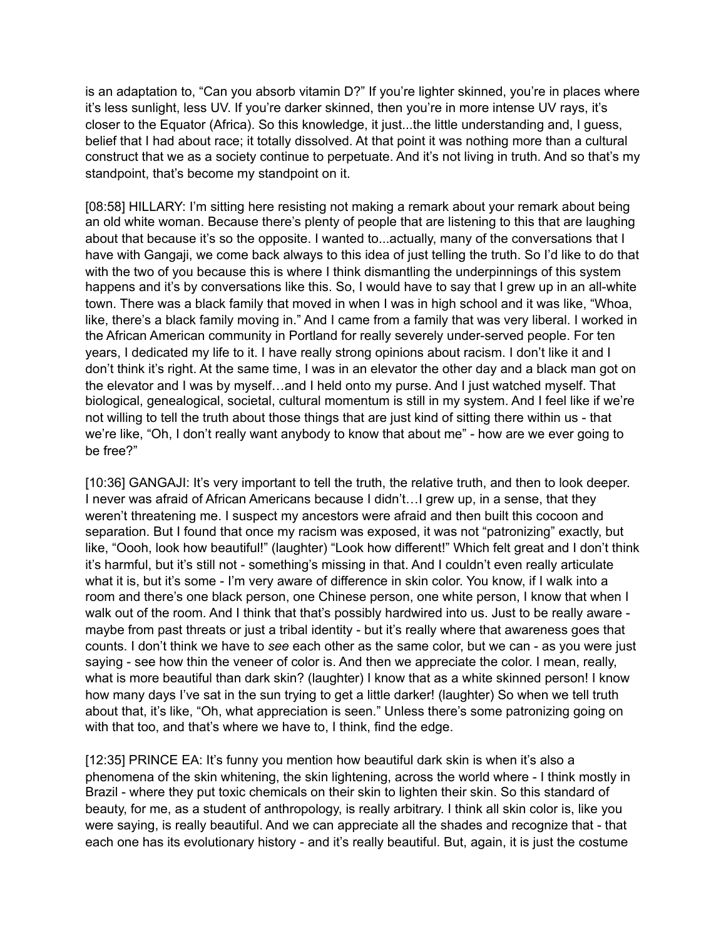is an adaptation to, "Can you absorb vitamin D?" If you're lighter skinned, you're in places where it's less sunlight, less UV. If you're darker skinned, then you're in more intense UV rays, it's closer to the Equator (Africa). So this knowledge, it just...the little understanding and, I guess, belief that I had about race; it totally dissolved. At that point it was nothing more than a cultural construct that we as a society continue to perpetuate. And it's not living in truth. And so that's my standpoint, that's become my standpoint on it.

[08:58] HILLARY: I'm sitting here resisting not making a remark about your remark about being an old white woman. Because there's plenty of people that are listening to this that are laughing about that because it's so the opposite. I wanted to...actually, many of the conversations that I have with Gangaji, we come back always to this idea of just telling the truth. So I'd like to do that with the two of you because this is where I think dismantling the underpinnings of this system happens and it's by conversations like this. So, I would have to say that I grew up in an all-white town. There was a black family that moved in when I was in high school and it was like, "Whoa, like, there's a black family moving in." And I came from a family that was very liberal. I worked in the African American community in Portland for really severely under-served people. For ten years, I dedicated my life to it. I have really strong opinions about racism. I don't like it and I don't think it's right. At the same time, I was in an elevator the other day and a black man got on the elevator and I was by myself…and I held onto my purse. And I just watched myself. That biological, genealogical, societal, cultural momentum is still in my system. And I feel like if we're not willing to tell the truth about those things that are just kind of sitting there within us - that we're like, "Oh, I don't really want anybody to know that about me" - how are we ever going to be free?"

[10:36] GANGAJI: It's very important to tell the truth, the relative truth, and then to look deeper. I never was afraid of African Americans because I didn't…I grew up, in a sense, that they weren't threatening me. I suspect my ancestors were afraid and then built this cocoon and separation. But I found that once my racism was exposed, it was not "patronizing" exactly, but like, "Oooh, look how beautiful!" (laughter) "Look how different!" Which felt great and I don't think it's harmful, but it's still not - something's missing in that. And I couldn't even really articulate what it is, but it's some - I'm very aware of difference in skin color. You know, if I walk into a room and there's one black person, one Chinese person, one white person, I know that when I walk out of the room. And I think that that's possibly hardwired into us. Just to be really aware maybe from past threats or just a tribal identity - but it's really where that awareness goes that counts. I don't think we have to *see* each other as the same color, but we can - as you were just saying - see how thin the veneer of color is. And then we appreciate the color. I mean, really, what is more beautiful than dark skin? (laughter) I know that as a white skinned person! I know how many days I've sat in the sun trying to get a little darker! (laughter) So when we tell truth about that, it's like, "Oh, what appreciation is seen." Unless there's some patronizing going on with that too, and that's where we have to, I think, find the edge.

[12:35] PRINCE EA: It's funny you mention how beautiful dark skin is when it's also a phenomena of the skin whitening, the skin lightening, across the world where - I think mostly in Brazil - where they put toxic chemicals on their skin to lighten their skin. So this standard of beauty, for me, as a student of anthropology, is really arbitrary. I think all skin color is, like you were saying, is really beautiful. And we can appreciate all the shades and recognize that - that each one has its evolutionary history - and it's really beautiful. But, again, it is just the costume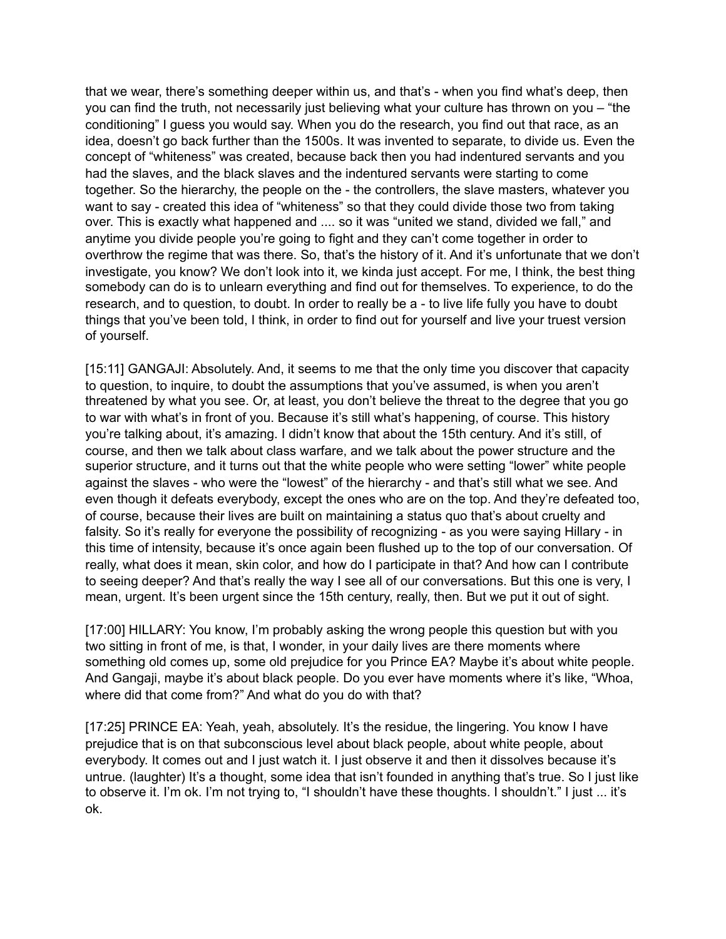that we wear, there's something deeper within us, and that's - when you find what's deep, then you can find the truth, not necessarily just believing what your culture has thrown on you – "the conditioning" I guess you would say. When you do the research, you find out that race, as an idea, doesn't go back further than the 1500s. It was invented to separate, to divide us. Even the concept of "whiteness" was created, because back then you had indentured servants and you had the slaves, and the black slaves and the indentured servants were starting to come together. So the hierarchy, the people on the - the controllers, the slave masters, whatever you want to say - created this idea of "whiteness" so that they could divide those two from taking over. This is exactly what happened and .... so it was "united we stand, divided we fall," and anytime you divide people you're going to fight and they can't come together in order to overthrow the regime that was there. So, that's the history of it. And it's unfortunate that we don't investigate, you know? We don't look into it, we kinda just accept. For me, I think, the best thing somebody can do is to unlearn everything and find out for themselves. To experience, to do the research, and to question, to doubt. In order to really be a - to live life fully you have to doubt things that you've been told, I think, in order to find out for yourself and live your truest version of yourself.

[15:11] GANGAJI: Absolutely. And, it seems to me that the only time you discover that capacity to question, to inquire, to doubt the assumptions that you've assumed, is when you aren't threatened by what you see. Or, at least, you don't believe the threat to the degree that you go to war with what's in front of you. Because it's still what's happening, of course. This history you're talking about, it's amazing. I didn't know that about the 15th century. And it's still, of course, and then we talk about class warfare, and we talk about the power structure and the superior structure, and it turns out that the white people who were setting "lower" white people against the slaves - who were the "lowest" of the hierarchy - and that's still what we see. And even though it defeats everybody, except the ones who are on the top. And they're defeated too, of course, because their lives are built on maintaining a status quo that's about cruelty and falsity. So it's really for everyone the possibility of recognizing - as you were saying Hillary - in this time of intensity, because it's once again been flushed up to the top of our conversation. Of really, what does it mean, skin color, and how do I participate in that? And how can I contribute to seeing deeper? And that's really the way I see all of our conversations. But this one is very, I mean, urgent. It's been urgent since the 15th century, really, then. But we put it out of sight.

[17:00] HILLARY: You know, I'm probably asking the wrong people this question but with you two sitting in front of me, is that, I wonder, in your daily lives are there moments where something old comes up, some old prejudice for you Prince EA? Maybe it's about white people. And Gangaji, maybe it's about black people. Do you ever have moments where it's like, "Whoa, where did that come from?" And what do you do with that?

[17:25] PRINCE EA: Yeah, yeah, absolutely. It's the residue, the lingering. You know I have prejudice that is on that subconscious level about black people, about white people, about everybody. It comes out and I just watch it. I just observe it and then it dissolves because it's untrue. (laughter) It's a thought, some idea that isn't founded in anything that's true. So I just like to observe it. I'm ok. I'm not trying to, "I shouldn't have these thoughts. I shouldn't." I just ... it's ok.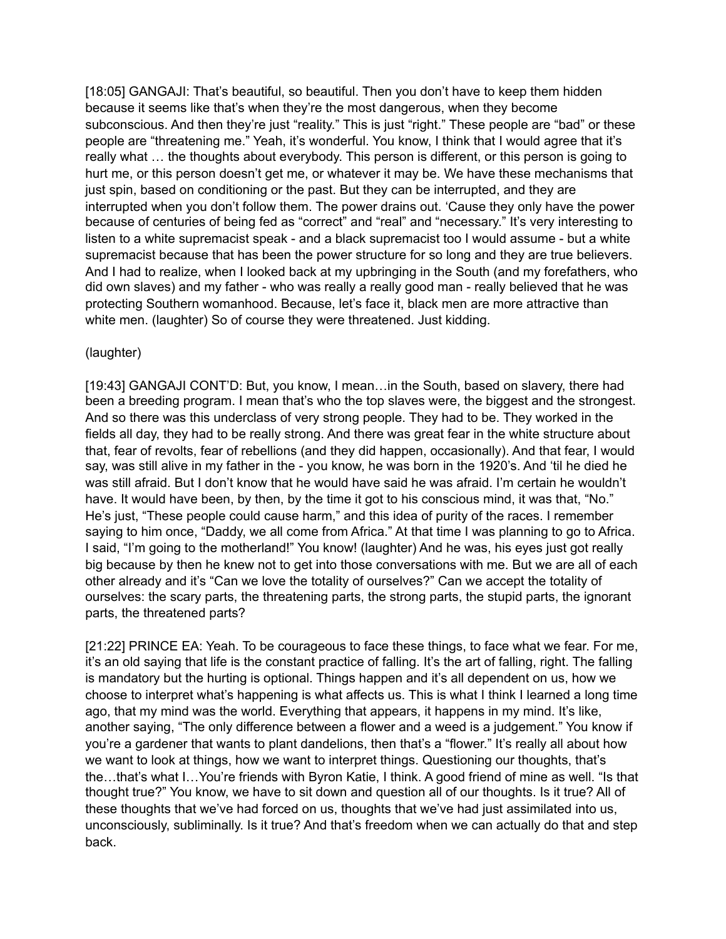[18:05] GANGAJI: That's beautiful, so beautiful. Then you don't have to keep them hidden because it seems like that's when they're the most dangerous, when they become subconscious. And then they're just "reality." This is just "right." These people are "bad" or these people are "threatening me." Yeah, it's wonderful. You know, I think that I would agree that it's really what … the thoughts about everybody. This person is different, or this person is going to hurt me, or this person doesn't get me, or whatever it may be. We have these mechanisms that just spin, based on conditioning or the past. But they can be interrupted, and they are interrupted when you don't follow them. The power drains out. 'Cause they only have the power because of centuries of being fed as "correct" and "real" and "necessary." It's very interesting to listen to a white supremacist speak - and a black supremacist too I would assume - but a white supremacist because that has been the power structure for so long and they are true believers. And I had to realize, when I looked back at my upbringing in the South (and my forefathers, who did own slaves) and my father - who was really a really good man - really believed that he was protecting Southern womanhood. Because, let's face it, black men are more attractive than white men. (laughter) So of course they were threatened. Just kidding.

## (laughter)

[19:43] GANGAJI CONT'D: But, you know, I mean... in the South, based on slavery, there had been a breeding program. I mean that's who the top slaves were, the biggest and the strongest. And so there was this underclass of very strong people. They had to be. They worked in the fields all day, they had to be really strong. And there was great fear in the white structure about that, fear of revolts, fear of rebellions (and they did happen, occasionally). And that fear, I would say, was still alive in my father in the - you know, he was born in the 1920's. And 'til he died he was still afraid. But I don't know that he would have said he was afraid. I'm certain he wouldn't have. It would have been, by then, by the time it got to his conscious mind, it was that, "No." He's just, "These people could cause harm," and this idea of purity of the races. I remember saying to him once, "Daddy, we all come from Africa." At that time I was planning to go to Africa. I said, "I'm going to the motherland!" You know! (laughter) And he was, his eyes just got really big because by then he knew not to get into those conversations with me. But we are all of each other already and it's "Can we love the totality of ourselves?" Can we accept the totality of ourselves: the scary parts, the threatening parts, the strong parts, the stupid parts, the ignorant parts, the threatened parts?

[21:22] PRINCE EA: Yeah. To be courageous to face these things, to face what we fear. For me, it's an old saying that life is the constant practice of falling. It's the art of falling, right. The falling is mandatory but the hurting is optional. Things happen and it's all dependent on us, how we choose to interpret what's happening is what affects us. This is what I think I learned a long time ago, that my mind was the world. Everything that appears, it happens in my mind. It's like, another saying, "The only difference between a flower and a weed is a judgement." You know if you're a gardener that wants to plant dandelions, then that's a "flower." It's really all about how we want to look at things, how we want to interpret things. Questioning our thoughts, that's the...that's what I...You're friends with Byron Katie, I think. A good friend of mine as well. "Is that thought true?" You know, we have to sit down and question all of our thoughts. Is it true? All of these thoughts that we've had forced on us, thoughts that we've had just assimilated into us, unconsciously, subliminally. Is it true? And that's freedom when we can actually do that and step back.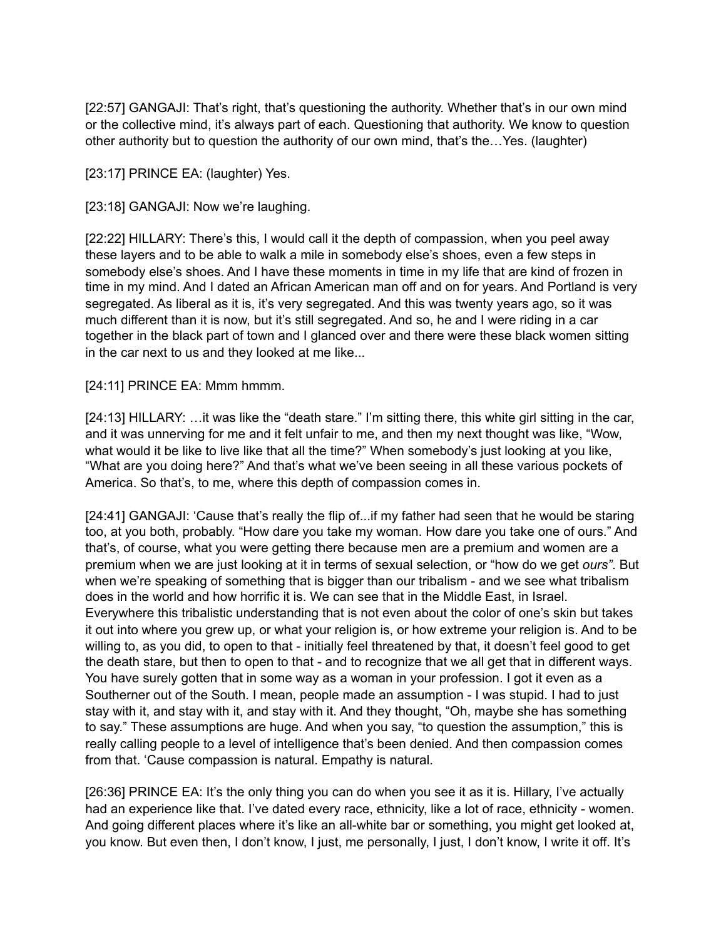[22:57] GANGAJI: That's right, that's questioning the authority. Whether that's in our own mind or the collective mind, it's always part of each. Questioning that authority. We know to question other authority but to question the authority of our own mind, that's the…Yes. (laughter)

[23:17] PRINCE EA: (laughter) Yes.

[23:18] GANGAJI: Now we're laughing.

[22:22] HILLARY: There's this, I would call it the depth of compassion, when you peel away these layers and to be able to walk a mile in somebody else's shoes, even a few steps in somebody else's shoes. And I have these moments in time in my life that are kind of frozen in time in my mind. And I dated an African American man off and on for years. And Portland is very segregated. As liberal as it is, it's very segregated. And this was twenty years ago, so it was much different than it is now, but it's still segregated. And so, he and I were riding in a car together in the black part of town and I glanced over and there were these black women sitting in the car next to us and they looked at me like...

[24:11] PRINCE EA: Mmm hmmm.

[24:13] HILLARY: ... it was like the "death stare." I'm sitting there, this white girl sitting in the car, and it was unnerving for me and it felt unfair to me, and then my next thought was like, "Wow, what would it be like to live like that all the time?" When somebody's just looking at you like, "What are you doing here?" And that's what we've been seeing in all these various pockets of America. So that's, to me, where this depth of compassion comes in.

[24:41] GANGAJI: 'Cause that's really the flip of...if my father had seen that he would be staring too, at you both, probably. "How dare you take my woman. How dare you take one of ours." And that's, of course, what you were getting there because men are a premium and women are a premium when we are just looking at it in terms of sexual selection, or "how do we get *ours"*. But when we're speaking of something that is bigger than our tribalism - and we see what tribalism does in the world and how horrific it is. We can see that in the Middle East, in Israel. Everywhere this tribalistic understanding that is not even about the color of one's skin but takes it out into where you grew up, or what your religion is, or how extreme your religion is. And to be willing to, as you did, to open to that - initially feel threatened by that, it doesn't feel good to get the death stare, but then to open to that - and to recognize that we all get that in different ways. You have surely gotten that in some way as a woman in your profession. I got it even as a Southerner out of the South. I mean, people made an assumption - I was stupid. I had to just stay with it, and stay with it, and stay with it. And they thought, "Oh, maybe she has something to say." These assumptions are huge. And when you say, "to question the assumption," this is really calling people to a level of intelligence that's been denied. And then compassion comes from that. 'Cause compassion is natural. Empathy is natural.

[26:36] PRINCE EA: It's the only thing you can do when you see it as it is. Hillary, I've actually had an experience like that. I've dated every race, ethnicity, like a lot of race, ethnicity - women. And going different places where it's like an all-white bar or something, you might get looked at, you know. But even then, I don't know, I just, me personally, I just, I don't know, I write it off. It's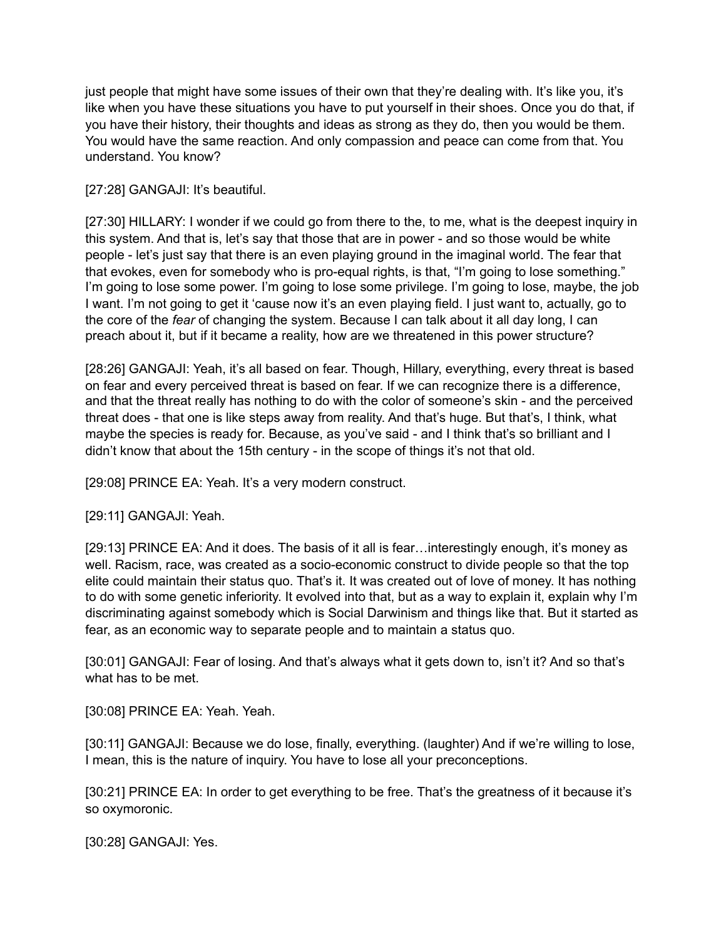just people that might have some issues of their own that they're dealing with. It's like you, it's like when you have these situations you have to put yourself in their shoes. Once you do that, if you have their history, their thoughts and ideas as strong as they do, then you would be them. You would have the same reaction. And only compassion and peace can come from that. You understand. You know?

## [27:28] GANGAJI: It's beautiful.

[27:30] HILLARY: I wonder if we could go from there to the, to me, what is the deepest inquiry in this system. And that is, let's say that those that are in power - and so those would be white people - let's just say that there is an even playing ground in the imaginal world. The fear that that evokes, even for somebody who is pro-equal rights, is that, "I'm going to lose something." I'm going to lose some power. I'm going to lose some privilege. I'm going to lose, maybe, the job I want. I'm not going to get it 'cause now it's an even playing field. I just want to, actually, go to the core of the *fear* of changing the system. Because I can talk about it all day long, I can preach about it, but if it became a reality, how are we threatened in this power structure?

[28:26] GANGAJI: Yeah, it's all based on fear. Though, Hillary, everything, every threat is based on fear and every perceived threat is based on fear. If we can recognize there is a difference, and that the threat really has nothing to do with the color of someone's skin - and the perceived threat does - that one is like steps away from reality. And that's huge. But that's, I think, what maybe the species is ready for. Because, as you've said - and I think that's so brilliant and I didn't know that about the 15th century - in the scope of things it's not that old.

[29:08] PRINCE EA: Yeah. It's a very modern construct.

[29:11] GANGAJI: Yeah.

[29:13] PRINCE EA: And it does. The basis of it all is fear...interestingly enough, it's money as well. Racism, race, was created as a socio-economic construct to divide people so that the top elite could maintain their status quo. That's it. It was created out of love of money. It has nothing to do with some genetic inferiority. It evolved into that, but as a way to explain it, explain why I'm discriminating against somebody which is Social Darwinism and things like that. But it started as fear, as an economic way to separate people and to maintain a status quo.

[30:01] GANGAJI: Fear of losing. And that's always what it gets down to, isn't it? And so that's what has to be met.

[30:08] PRINCE EA: Yeah. Yeah.

[30:11] GANGAJI: Because we do lose, finally, everything. (laughter) And if we're willing to lose, I mean, this is the nature of inquiry. You have to lose all your preconceptions.

[30:21] PRINCE EA: In order to get everything to be free. That's the greatness of it because it's so oxymoronic.

[30:28] GANGAJI: Yes.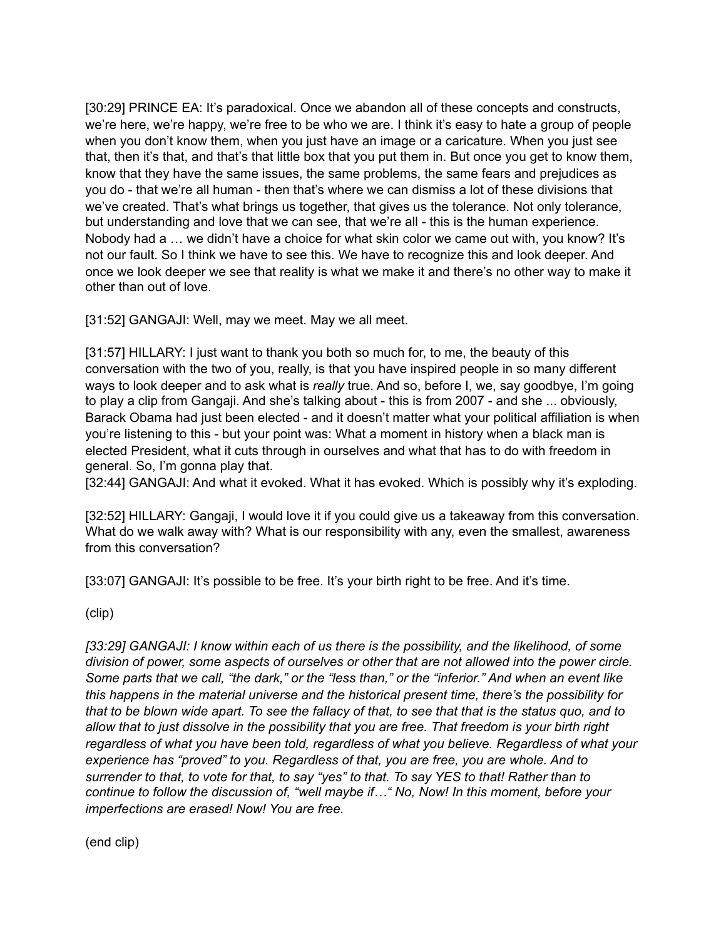[30:29] PRINCE EA: It's paradoxical. Once we abandon all of these concepts and constructs, we're here, we're happy, we're free to be who we are. I think it's easy to hate a group of people when you don't know them, when you just have an image or a caricature. When you just see that, then it's that, and that's that little box that you put them in. But once you get to know them, know that they have the same issues, the same problems, the same fears and prejudices as you do - that we're all human - then that's where we can dismiss a lot of these divisions that we've created. That's what brings us together, that gives us the tolerance. Not only tolerance, but understanding and love that we can see, that we're all - this is the human experience. Nobody had a … we didn't have a choice for what skin color we came out with, you know? It's not our fault. So I think we have to see this. We have to recognize this and look deeper. And once we look deeper we see that reality is what we make it and there's no other way to make it other than out of love.

[31:52] GANGAJI: Well, may we meet. May we all meet.

[31:57] HILLARY: I just want to thank you both so much for, to me, the beauty of this conversation with the two of you, really, is that you have inspired people in so many different ways to look deeper and to ask what is *really* true. And so, before I, we, say goodbye, I'm going to play a clip from Gangaji. And she's talking about - this is from 2007 - and she ... obviously, Barack Obama had just been elected - and it doesn't matter what your political affiliation is when you're listening to this - but your point was: What a moment in history when a black man is elected President, what it cuts through in ourselves and what that has to do with freedom in general. So, I'm gonna play that.

[32:44] GANGAJI: And what it evoked. What it has evoked. Which is possibly why it's exploding.

[32:52] HILLARY: Gangaji, I would love it if you could give us a takeaway from this conversation. What do we walk away with? What is our responsibility with any, even the smallest, awareness from this conversation?

[33:07] GANGAJI: It's possible to be free. It's your birth right to be free. And it's time.

(clip)

*[33:29] GANGAJI: I know within each of us there is the possibility, and the likelihood, of some division of power, some aspects of ourselves or other that are not allowed into the power circle. Some parts that we call, "the dark," or the "less than," or the "inferior." And when an event like this happens in the material universe and the historical present time, there's the possibility for that to be blown wide apart. To see the fallacy of that, to see that that is the status quo, and to allow that to just dissolve in the possibility that you are free. That freedom is your birth right regardless of what you have been told, regardless of what you believe. Regardless of what your experience has "proved" to you. Regardless of that, you are free, you are whole. And to surrender to that, to vote for that, to say "yes" to that. To say YES to that! Rather than to continue to follow the discussion of, "well maybe if…" No, Now! In this moment, before your imperfections are erased! Now! You are free.* 

(end clip)